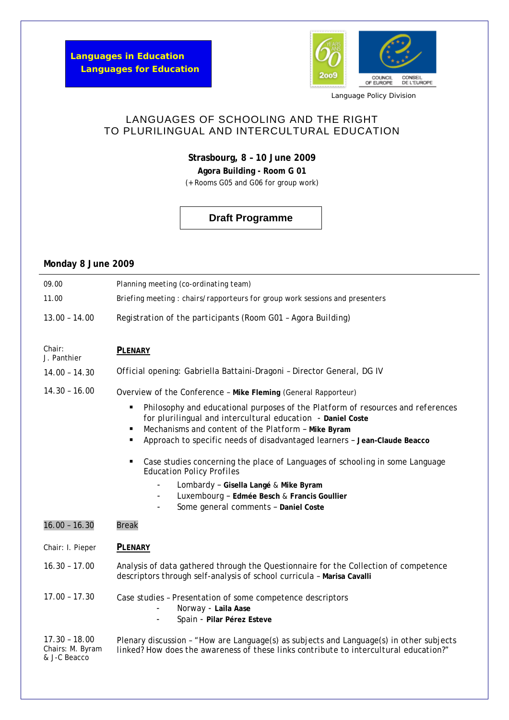

Language Policy Division

## LANGUAGES OF SCHOOLING AND THE RIGHT TO PLURILINGUAL AND INTERCULTURAL EDUCATION

**Strasbourg, 8 – 10 June 2009 Agora Building - Room G 01** (+ Rooms G05 and G06 for group work)

## **Draft Programme**

## **Monday 8 June 2009**

| 09.00                                               | Planning meeting (co-ordinating team)                                                                                                                                                                                                                                                                                                                                                                                                                                                                                                                      |
|-----------------------------------------------------|------------------------------------------------------------------------------------------------------------------------------------------------------------------------------------------------------------------------------------------------------------------------------------------------------------------------------------------------------------------------------------------------------------------------------------------------------------------------------------------------------------------------------------------------------------|
| 11.00                                               | Briefing meeting: chairs/rapporteurs for group work sessions and presenters                                                                                                                                                                                                                                                                                                                                                                                                                                                                                |
| $13.00 - 14.00$                                     | Registration of the participants (Room G01 - Agora Building)                                                                                                                                                                                                                                                                                                                                                                                                                                                                                               |
| Chair:<br>J. Panthier                               | <b>PLENARY</b>                                                                                                                                                                                                                                                                                                                                                                                                                                                                                                                                             |
| $14.00 - 14.30$                                     | Official opening: Gabriella Battaini-Dragoni - Director General, DG IV                                                                                                                                                                                                                                                                                                                                                                                                                                                                                     |
| $14.30 - 16.00$                                     | Overview of the Conference - Mike Fleming (General Rapporteur)                                                                                                                                                                                                                                                                                                                                                                                                                                                                                             |
|                                                     | Philosophy and educational purposes of the Platform of resources and references<br>٠<br>for plurilingual and intercultural education - Daniel Coste<br>Mechanisms and content of the Platform - Mike Byram<br>٠<br>Approach to specific needs of disadvantaged learners - Jean-Claude Beacco<br>٠<br>Case studies concerning the place of Languages of schooling in some Language<br>٠<br><b>Education Policy Profiles</b><br>Lombardy - Gisella Langé & Mike Byram<br>Luxembourg - Edmée Besch & Francis Goullier<br>Some general comments - Daniel Coste |
| $16.00 - 16.30$                                     | <b>Break</b>                                                                                                                                                                                                                                                                                                                                                                                                                                                                                                                                               |
| Chair: I. Pieper                                    | <b>PLENARY</b>                                                                                                                                                                                                                                                                                                                                                                                                                                                                                                                                             |
| $16.30 - 17.00$                                     | Analysis of data gathered through the Questionnaire for the Collection of competence<br>descriptors through self-analysis of school curricula - Marisa Cavalli                                                                                                                                                                                                                                                                                                                                                                                             |
| $17.00 - 17.30$                                     | Case studies - Presentation of some competence descriptors<br>Norway - Laila Aase<br>Spain - Pilar Pérez Esteve                                                                                                                                                                                                                                                                                                                                                                                                                                            |
| $17.30 - 18.00$<br>Chairs: M. Byram<br>& J-C Beacco | Plenary discussion - "How are Language(s) as subjects and Language(s) in other subjects<br>linked? How does the awareness of these links contribute to intercultural education?"                                                                                                                                                                                                                                                                                                                                                                           |